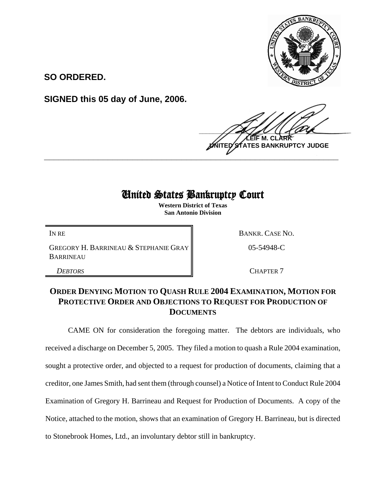

**SO ORDERED.**

**SIGNED this 05 day of June, 2006.**

 $\frac{1}{2}$ **M. ES BANKRUPTCY JUDGE \_\_\_\_\_\_\_\_\_\_\_\_\_\_\_\_\_\_\_\_\_\_\_\_\_\_\_\_\_\_\_\_\_\_\_\_\_\_\_\_\_\_\_\_\_\_\_\_\_\_\_\_\_\_\_\_\_\_\_\_**

## United States Bankruptcy Court

**Western District of Texas San Antonio Division**

GREGORY H. BARRINEAU & STEPHANIE GRAY BARRINEAU

IN RE BANKR. CASE NO.

05-54948-C

**DEBTORS** CHAPTER 7

## **ORDER DENYING MOTION TO QUASH RULE 2004 EXAMINATION, MOTION FOR PROTECTIVE ORDER AND OBJECTIONS TO REQUEST FOR PRODUCTION OF DOCUMENTS**

CAME ON for consideration the foregoing matter. The debtors are individuals, who received a discharge on December 5, 2005. They filed a motion to quash a Rule 2004 examination, sought a protective order, and objected to a request for production of documents, claiming that a creditor, one James Smith, had sent them (through counsel) a Notice of Intent to Conduct Rule 2004 Examination of Gregory H. Barrineau and Request for Production of Documents. A copy of the Notice, attached to the motion, shows that an examination of Gregory H. Barrineau, but is directed to Stonebrook Homes, Ltd., an involuntary debtor still in bankruptcy.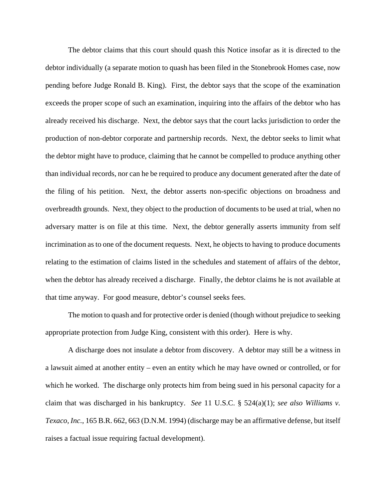The debtor claims that this court should quash this Notice insofar as it is directed to the debtor individually (a separate motion to quash has been filed in the Stonebrook Homes case, now pending before Judge Ronald B. King). First, the debtor says that the scope of the examination exceeds the proper scope of such an examination, inquiring into the affairs of the debtor who has already received his discharge. Next, the debtor says that the court lacks jurisdiction to order the production of non-debtor corporate and partnership records. Next, the debtor seeks to limit what the debtor might have to produce, claiming that he cannot be compelled to produce anything other than individual records, nor can he be required to produce any document generated after the date of the filing of his petition. Next, the debtor asserts non-specific objections on broadness and overbreadth grounds. Next, they object to the production of documents to be used at trial, when no adversary matter is on file at this time. Next, the debtor generally asserts immunity from self incrimination as to one of the document requests. Next, he objects to having to produce documents relating to the estimation of claims listed in the schedules and statement of affairs of the debtor, when the debtor has already received a discharge. Finally, the debtor claims he is not available at that time anyway. For good measure, debtor's counsel seeks fees.

The motion to quash and for protective order is denied (though without prejudice to seeking appropriate protection from Judge King, consistent with this order). Here is why.

A discharge does not insulate a debtor from discovery. A debtor may still be a witness in a lawsuit aimed at another entity – even an entity which he may have owned or controlled, or for which he worked. The discharge only protects him from being sued in his personal capacity for a claim that was discharged in his bankruptcy. *See* 11 U.S.C. § 524(a)(1); *see also Williams v. Texaco, Inc.*, 165 B.R. 662, 663 (D.N.M. 1994) (discharge may be an affirmative defense, but itself raises a factual issue requiring factual development).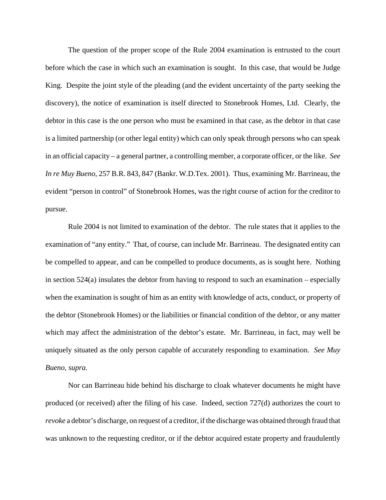The question of the proper scope of the Rule 2004 examination is entrusted to the court before which the case in which such an examination is sought. In this case, that would be Judge King. Despite the joint style of the pleading (and the evident uncertainty of the party seeking the discovery), the notice of examination is itself directed to Stonebrook Homes, Ltd. Clearly, the debtor in this case is the one person who must be examined in that case, as the debtor in that case is a limited partnership (or other legal entity) which can only speak through persons who can speak in an official capacity – a general partner, a controlling member, a corporate officer, or the like. *See In re Muy Bueno*, 257 B.R. 843, 847 (Bankr. W.D.Tex. 2001). Thus, examining Mr. Barrineau, the evident "person in control" of Stonebrook Homes, was the right course of action for the creditor to pursue.

Rule 2004 is not limited to examination of the debtor. The rule states that it applies to the examination of "any entity." That, of course, can include Mr. Barrineau. The designated entity can be compelled to appear, and can be compelled to produce documents, as is sought here. Nothing in section  $524(a)$  insulates the debtor from having to respond to such an examination – especially when the examination is sought of him as an entity with knowledge of acts, conduct, or property of the debtor (Stonebrook Homes) or the liabilities or financial condition of the debtor, or any matter which may affect the administration of the debtor's estate. Mr. Barrineau, in fact, may well be uniquely situated as the only person capable of accurately responding to examination. *See Muy Bueno*, *supra.*

Nor can Barrineau hide behind his discharge to cloak whatever documents he might have produced (or received) after the filing of his case. Indeed, section 727(d) authorizes the court to *revoke* a debtor's discharge, on request of a creditor, if the discharge was obtained through fraud that was unknown to the requesting creditor, or if the debtor acquired estate property and fraudulently